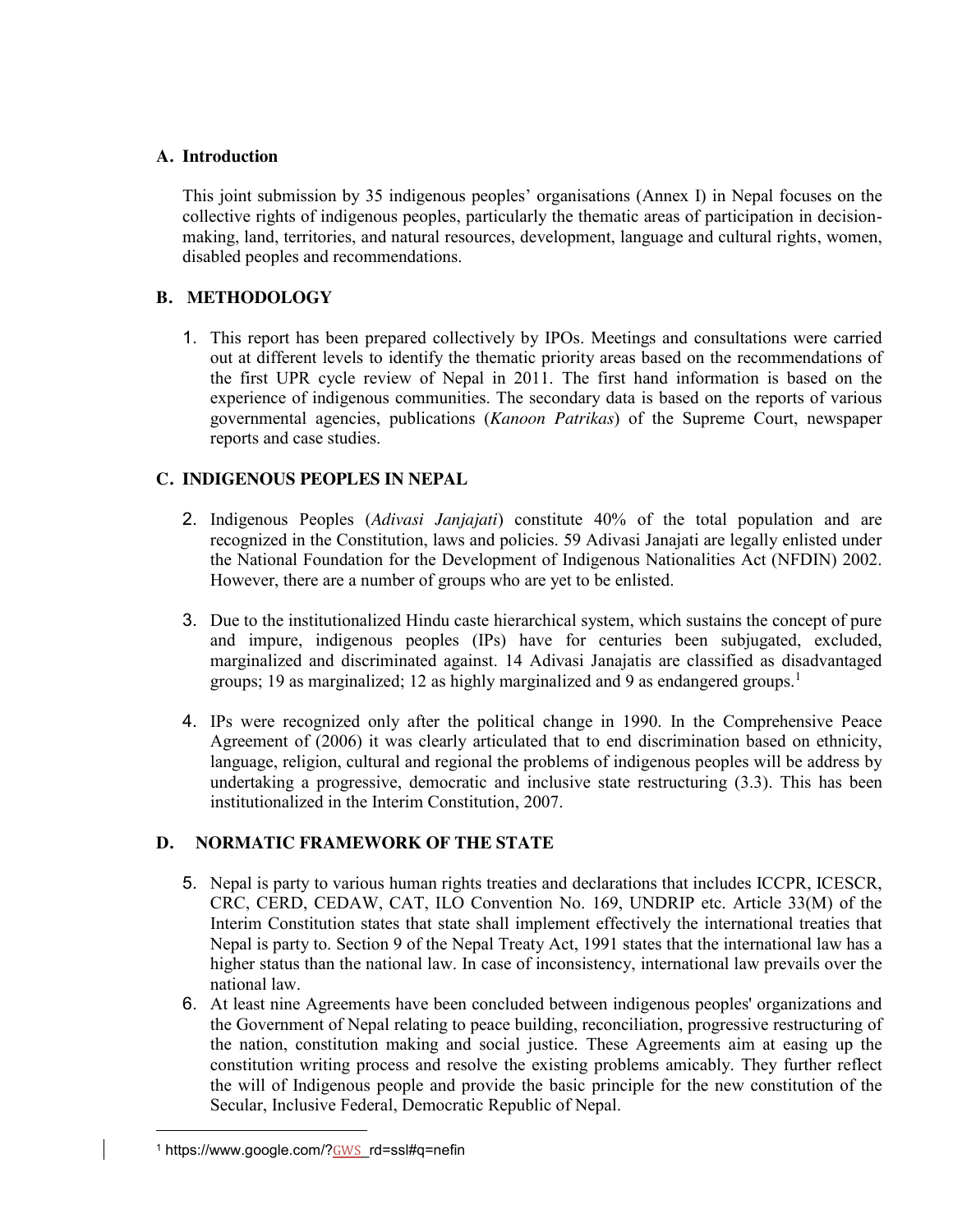## **A. Introduction**

This joint submission by 35 indigenous peoples' organisations (Annex I) in Nepal focuses on the collective rights of indigenous peoples, particularly the thematic areas of participation in decisionmaking, land, territories, and natural resources, development, language and cultural rights, women, disabled peoples and recommendations.

## **B. METHODOLOGY**

1. This report has been prepared collectively by IPOs. Meetings and consultations were carried out at different levels to identify the thematic priority areas based on the recommendations of the first UPR cycle review of Nepal in 2011. The first hand information is based on the experience of indigenous communities. The secondary data is based on the reports of various governmental agencies, publications (*Kanoon Patrikas*) of the Supreme Court, newspaper reports and case studies.

# **C. INDIGENOUS PEOPLES IN NEPAL**

- 2. Indigenous Peoples (*Adivasi Janjajati*) constitute 40% of the total population and are recognized in the Constitution, laws and policies. 59 Adivasi Janajati are legally enlisted under the National Foundation for the Development of Indigenous Nationalities Act (NFDIN) 2002. However, there are a number of groups who are yet to be enlisted.
- 3. Due to the institutionalized Hindu caste hierarchical system, which sustains the concept of pure and impure, indigenous peoples (IPs) have for centuries been subjugated, excluded, marginalized and discriminated against. 14 Adivasi Janajatis are classified as disadvantaged groups; 19 as marginalized; 12 as highly marginalized and 9 as endangered groups.<sup>1</sup>
- 4. IPs were recognized only after the political change in 1990. In the Comprehensive Peace Agreement of (2006) it was clearly articulated that to end discrimination based on ethnicity, language, religion, cultural and regional the problems of indigenous peoples will be address by undertaking a progressive, democratic and inclusive state restructuring (3.3). This has been institutionalized in the Interim Constitution, 2007.

# **D. NORMATIC FRAMEWORK OF THE STATE**

- 5. Nepal is party to various human rights treaties and declarations that includes ICCPR, ICESCR, CRC, CERD, CEDAW, CAT, ILO Convention No. 169, UNDRIP etc. Article 33(M) of the Interim Constitution states that state shall implement effectively the international treaties that Nepal is party to. Section 9 of the Nepal Treaty Act, 1991 states that the international law has a higher status than the national law. In case of inconsistency, international law prevails over the national law.
- 6. At least nine Agreements have been concluded between indigenous peoples' organizations and the Government of Nepal relating to peace building, reconciliation, progressive restructuring of the nation, constitution making and social justice. These Agreements aim at easing up the constitution writing process and resolve the existing problems amicably. They further reflect the will of Indigenous people and provide the basic principle for the new constitution of the Secular, Inclusive Federal, Democratic Republic of Nepal.

l

<sup>&</sup>lt;sup>1</sup> https://www.google.com/?GWS\_rd=ssl#q=nefin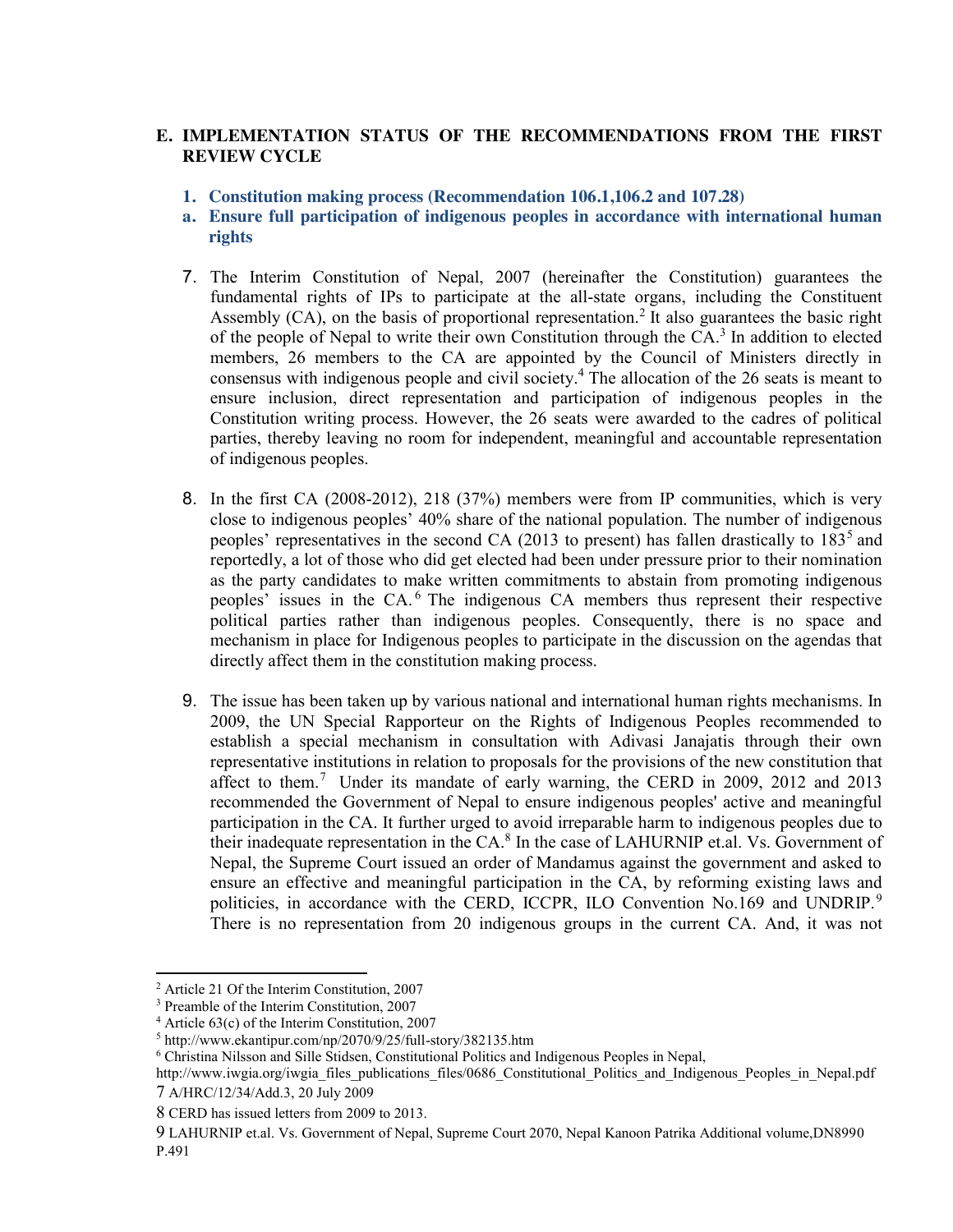## **E. IMPLEMENTATION STATUS OF THE RECOMMENDATIONS FROM THE FIRST REVIEW CYCLE**

- **1. Constitution making process (Recommendation 106.1,106.2 and 107.28)**
- **a. Ensure full participation of indigenous peoples in accordance with international human rights**
- 7. The Interim Constitution of Nepal, 2007 (hereinafter the Constitution) guarantees the fundamental rights of IPs to participate at the all-state organs, including the Constituent Assembly  $(CA)$ , on the basis of proportional representation.<sup>2</sup> It also guarantees the basic right of the people of Nepal to write their own Constitution through the CA. <sup>3</sup> In addition to elected members, 26 members to the CA are appointed by the Council of Ministers directly in consensus with indigenous people and civil society. <sup>4</sup> The allocation of the 26 seats is meant to ensure inclusion, direct representation and participation of indigenous peoples in the Constitution writing process. However, the 26 seats were awarded to the cadres of political parties, thereby leaving no room for independent, meaningful and accountable representation of indigenous peoples.
- 8. In the first CA (2008-2012), 218 (37%) members were from IP communities, which is very close to indigenous peoples' 40% share of the national population. The number of indigenous peoples' representatives in the second CA (2013 to present) has fallen drastically to 183<sup>5</sup> and reportedly, a lot of those who did get elected had been under pressure prior to their nomination as the party candidates to make written commitments to abstain from promoting indigenous peoples' issues in the CA. <sup>6</sup> The indigenous CA members thus represent their respective political parties rather than indigenous peoples. Consequently, there is no space and mechanism in place for Indigenous peoples to participate in the discussion on the agendas that directly affect them in the constitution making process.
- 9. The issue has been taken up by various national and international human rights mechanisms. In 2009, the UN Special Rapporteur on the Rights of Indigenous Peoples recommended to establish a special mechanism in consultation with Adivasi Janajatis through their own representative institutions in relation to proposals for the provisions of the new constitution that affect to them.7 Under its mandate of early warning, the CERD in 2009, 2012 and 2013 recommended the Government of Nepal to ensure indigenous peoples' active and meaningful participation in the CA. It further urged to avoid irreparable harm to indigenous peoples due to their inadequate representation in the CA.<sup>8</sup> In the case of LAHURNIP et.al. Vs. Government of Nepal, the Supreme Court issued an order of Mandamus against the government and asked to ensure an effective and meaningful participation in the CA, by reforming existing laws and politicies, in accordance with the CERD, ICCPR, ILO Convention No.169 and UNDRIP.<sup>9</sup> There is no representation from 20 indigenous groups in the current CA. And, it was not

l

<sup>2</sup> Article 21 Of the Interim Constitution, 2007

<sup>3</sup> Preamble of the Interim Constitution, 2007

 $4$  Article 63(c) of the Interim Constitution, 2007

<sup>5</sup> http://www.ekantipur.com/np/2070/9/25/full-story/382135.htm

<sup>6</sup> Christina Nilsson and Sille Stidsen, Constitutional Politics and Indigenous Peoples in Nepal,

http://www.iwgia.org/iwgia\_files\_publications\_files/0686\_Constitutional\_Politics\_and\_Indigenous\_Peoples\_in\_Nepal.pdf 7 A/HRC/12/34/Add.3, 20 July 2009

<sup>8</sup> CERD has issued letters from 2009 to 2013.

<sup>9</sup> LAHURNIP et.al. Vs. Government of Nepal, Supreme Court 2070, Nepal Kanoon Patrika Additional volume,DN8990 P.491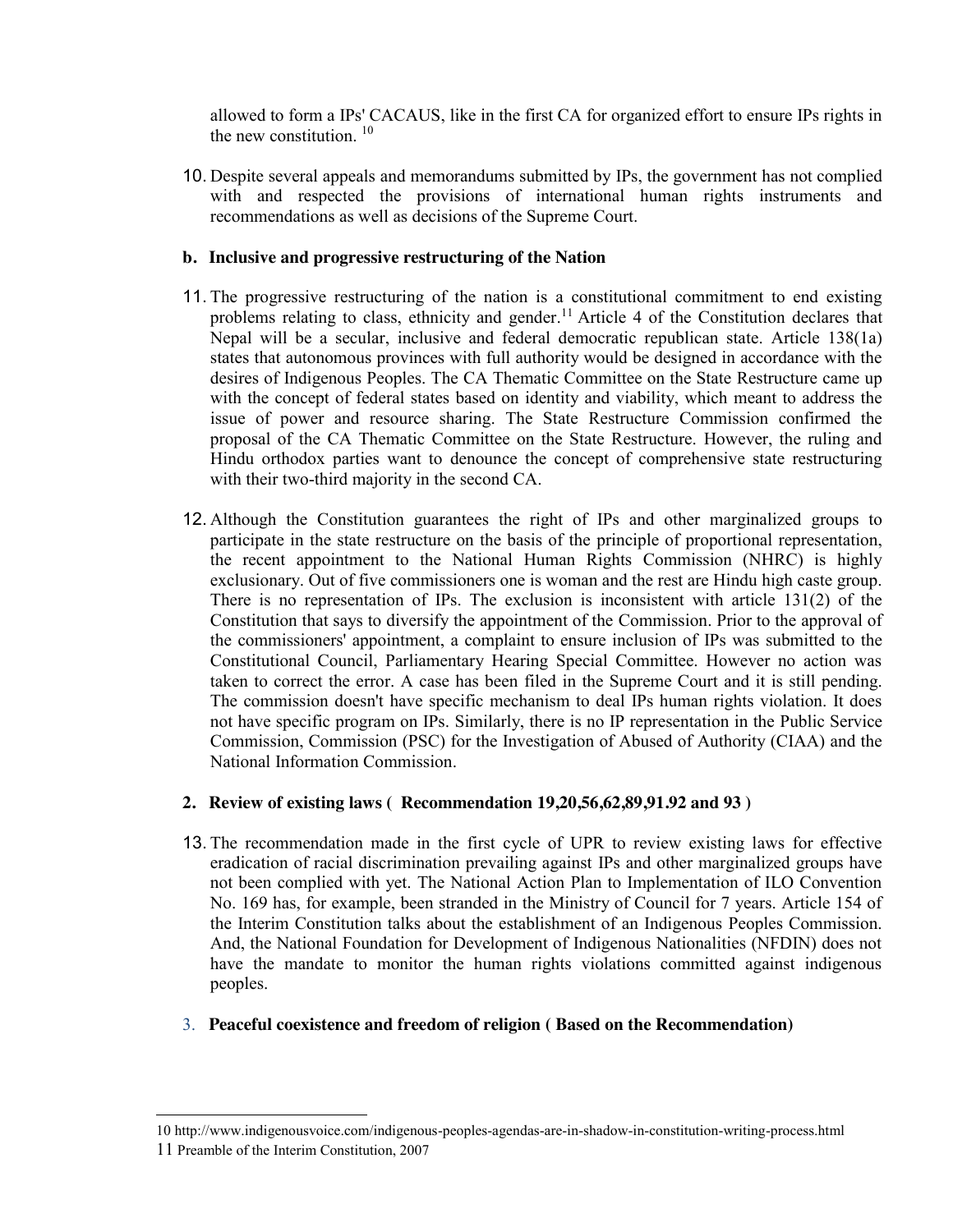allowed to form a IPs' CACAUS, like in the first CA for organized effort to ensure IPs rights in the new constitution. <sup>10</sup>

10. Despite several appeals and memorandums submitted by IPs, the government has not complied with and respected the provisions of international human rights instruments and recommendations as well as decisions of the Supreme Court.

### **b. Inclusive and progressive restructuring of the Nation**

- 11. The progressive restructuring of the nation is a constitutional commitment to end existing problems relating to class, ethnicity and gender.<sup>11</sup> Article 4 of the Constitution declares that Nepal will be a secular, inclusive and federal democratic republican state. Article 138(1a) states that autonomous provinces with full authority would be designed in accordance with the desires of Indigenous Peoples. The CA Thematic Committee on the State Restructure came up with the concept of federal states based on identity and viability, which meant to address the issue of power and resource sharing. The State Restructure Commission confirmed the proposal of the CA Thematic Committee on the State Restructure. However, the ruling and Hindu orthodox parties want to denounce the concept of comprehensive state restructuring with their two-third majority in the second CA.
- 12. Although the Constitution guarantees the right of IPs and other marginalized groups to participate in the state restructure on the basis of the principle of proportional representation, the recent appointment to the National Human Rights Commission (NHRC) is highly exclusionary. Out of five commissioners one is woman and the rest are Hindu high caste group. There is no representation of IPs. The exclusion is inconsistent with article  $131(2)$  of the Constitution that says to diversify the appointment of the Commission. Prior to the approval of the commissioners' appointment, a complaint to ensure inclusion of IPs was submitted to the Constitutional Council, Parliamentary Hearing Special Committee. However no action was taken to correct the error. A case has been filed in the Supreme Court and it is still pending. The commission doesn't have specific mechanism to deal IPs human rights violation. It does not have specific program on IPs. Similarly, there is no IP representation in the Public Service Commission, Commission (PSC) for the Investigation of Abused of Authority (CIAA) and the National Information Commission.

## **2. Review of existing laws ( Recommendation 19,20,56,62,89,91.92 and 93 )**

- 13. The recommendation made in the first cycle of UPR to review existing laws for effective eradication of racial discrimination prevailing against IPs and other marginalized groups have not been complied with yet. The National Action Plan to Implementation of ILO Convention No. 169 has, for example, been stranded in the Ministry of Council for 7 years. Article 154 of the Interim Constitution talks about the establishment of an Indigenous Peoples Commission. And, the National Foundation for Development of Indigenous Nationalities (NFDIN) does not have the mandate to monitor the human rights violations committed against indigenous peoples.
- 3. **Peaceful coexistence and freedom of religion ( Based on the Recommendation)**

l

<sup>10</sup> http://www.indigenousvoice.com/indigenous-peoples-agendas-are-in-shadow-in-constitution-writing-process.html 11 Preamble of the Interim Constitution, 2007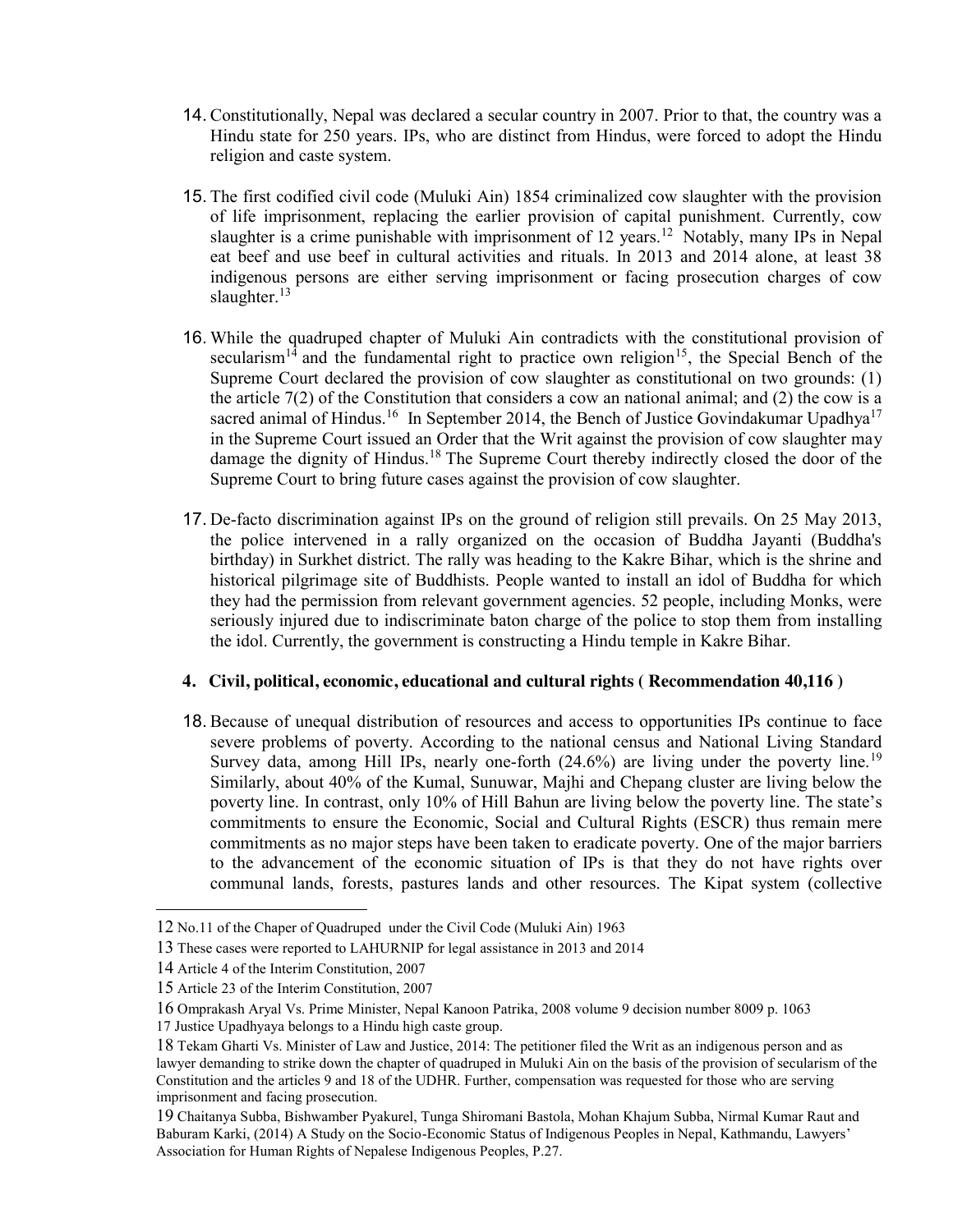- 14. Constitutionally, Nepal was declared a secular country in 2007. Prior to that, the country was a Hindu state for 250 years. IPs, who are distinct from Hindus, were forced to adopt the Hindu religion and caste system.
- 15. The first codified civil code (Muluki Ain) 1854 criminalized cow slaughter with the provision of life imprisonment, replacing the earlier provision of capital punishment. Currently, cow slaughter is a crime punishable with imprisonment of  $12$  years.<sup>12</sup> Notably, many IPs in Nepal eat beef and use beef in cultural activities and rituals. In 2013 and 2014 alone, at least 38 indigenous persons are either serving imprisonment or facing prosecution charges of cow slaughter.<sup>13</sup>
- 16. While the quadruped chapter of Muluki Ain contradicts with the constitutional provision of secularism<sup>14</sup> and the fundamental right to practice own religion<sup>15</sup>, the Special Bench of the Supreme Court declared the provision of cow slaughter as constitutional on two grounds: (1) the article 7(2) of the Constitution that considers a cow an national animal; and (2) the cow is a sacred animal of Hindus.<sup>16</sup> In September 2014, the Bench of Justice Govindakumar Upadhya<sup>17</sup> in the Supreme Court issued an Order that the Writ against the provision of cow slaughter may damage the dignity of Hindus.<sup>18</sup> The Supreme Court thereby indirectly closed the door of the Supreme Court to bring future cases against the provision of cow slaughter.
- 17. De-facto discrimination against IPs on the ground of religion still prevails. On 25 May 2013, the police intervened in a rally organized on the occasion of Buddha Jayanti (Buddha's birthday) in Surkhet district. The rally was heading to the Kakre Bihar, which is the shrine and historical pilgrimage site of Buddhists. People wanted to install an idol of Buddha for which they had the permission from relevant government agencies. 52 people, including Monks, were seriously injured due to indiscriminate baton charge of the police to stop them from installing the idol. Currently, the government is constructing a Hindu temple in Kakre Bihar.

#### **4. Civil, political, economic, educational and cultural rights ( Recommendation 40,116 )**

18. Because of unequal distribution of resources and access to opportunities IPs continue to face severe problems of poverty. According to the national census and National Living Standard Survey data, among Hill IPs, nearly one-forth  $(24.6\%)$  are living under the poverty line.<sup>19</sup> Similarly, about 40% of the Kumal, Sunuwar, Majhi and Chepang cluster are living below the poverty line. In contrast, only 10% of Hill Bahun are living below the poverty line. The state's commitments to ensure the Economic, Social and Cultural Rights (ESCR) thus remain mere commitments as no major steps have been taken to eradicate poverty. One of the major barriers to the advancement of the economic situation of IPs is that they do not have rights over communal lands, forests, pastures lands and other resources. The Kipat system (collective

 $\overline{\phantom{a}}$ 

<sup>12</sup> No.11 of the Chaper of Quadruped under the Civil Code (Muluki Ain) 1963

<sup>13</sup> These cases were reported to LAHURNIP for legal assistance in 2013 and 2014

<sup>14</sup> Article 4 of the Interim Constitution, 2007

<sup>15</sup> Article 23 of the Interim Constitution, 2007

<sup>16</sup> Omprakash Aryal Vs. Prime Minister, Nepal Kanoon Patrika, 2008 volume 9 decision number 8009 p. 1063

<sup>17</sup> Justice Upadhyaya belongs to a Hindu high caste group.

<sup>18</sup> Tekam Gharti Vs. Minister of Law and Justice, 2014: The petitioner filed the Writ as an indigenous person and as lawyer demanding to strike down the chapter of quadruped in Muluki Ain on the basis of the provision of secularism of the Constitution and the articles 9 and 18 of the UDHR. Further, compensation was requested for those who are serving imprisonment and facing prosecution.

<sup>19</sup> Chaitanya Subba, Bishwamber Pyakurel, Tunga Shiromani Bastola, Mohan Khajum Subba, Nirmal Kumar Raut and Baburam Karki, (2014) A Study on the Socio-Economic Status of Indigenous Peoples in Nepal, Kathmandu, Lawyers' Association for Human Rights of Nepalese Indigenous Peoples, P.27.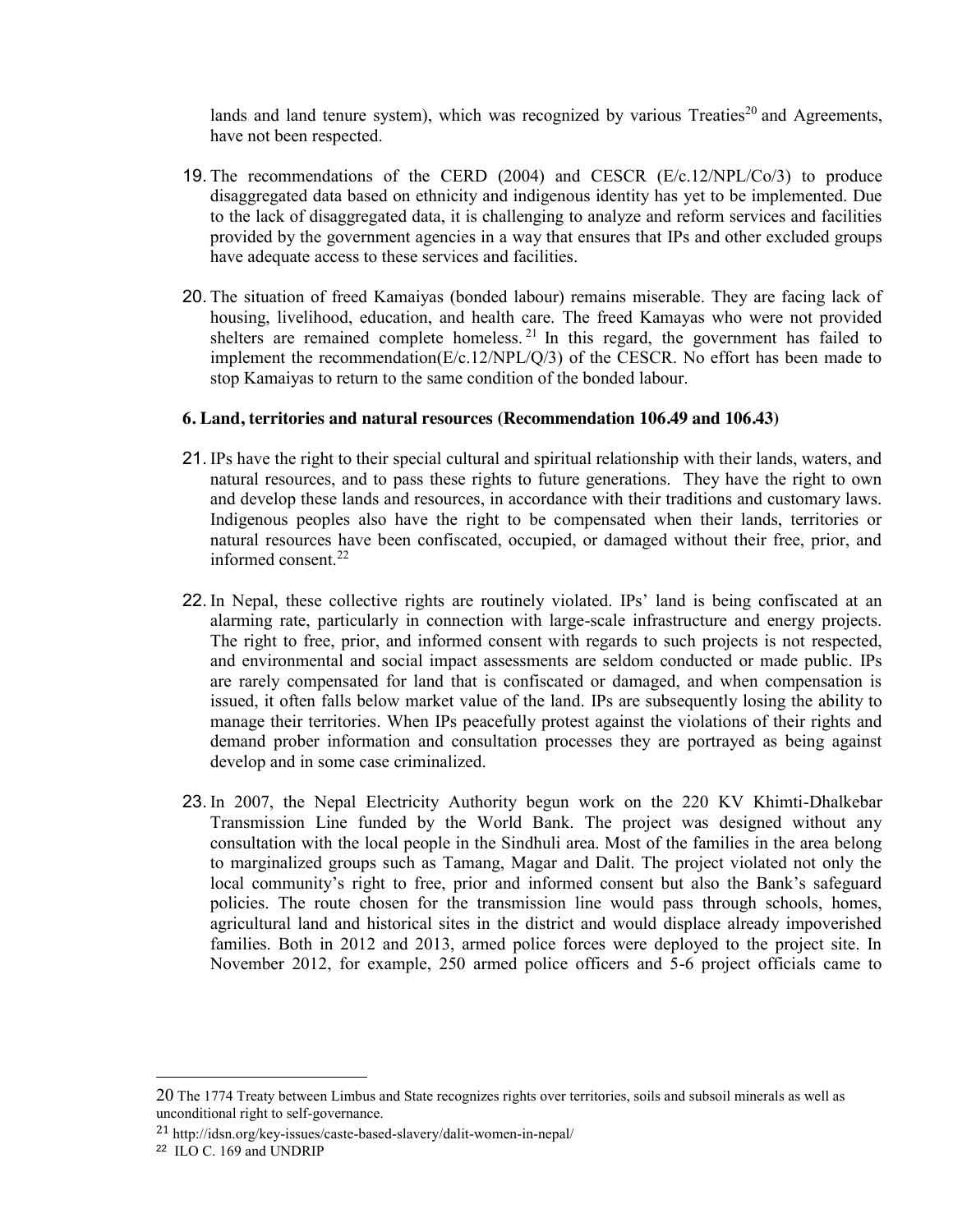lands and land tenure system), which was recognized by various Treaties<sup>20</sup> and Agreements, have not been respected.

- 19. The recommendations of the CERD  $(2004)$  and CESCR  $(E/c.12/NPL/CO/3)$  to produce disaggregated data based on ethnicity and indigenous identity has yet to be implemented. Due to the lack of disaggregated data, it is challenging to analyze and reform services and facilities provided by the government agencies in a way that ensures that IPs and other excluded groups have adequate access to these services and facilities.
- 20. The situation of freed Kamaiyas (bonded labour) remains miserable. They are facing lack of housing, livelihood, education, and health care. The freed Kamayas who were not provided shelters are remained complete homeless.  $21$  In this regard, the government has failed to implement the recommendation(E/c.12/NPL/Q/3) of the CESCR. No effort has been made to stop Kamaiyas to return to the same condition of the bonded labour.

#### **6. Land, territories and natural resources (Recommendation 106.49 and 106.43)**

- 21. IPs have the right to their special cultural and spiritual relationship with their lands, waters, and natural resources, and to pass these rights to future generations. They have the right to own and develop these lands and resources, in accordance with their traditions and customary laws. Indigenous peoples also have the right to be compensated when their lands, territories or natural resources have been confiscated, occupied, or damaged without their free, prior, and informed consent. $22$
- 22. In Nepal, these collective rights are routinely violated. IPs' land is being confiscated at an alarming rate, particularly in connection with large-scale infrastructure and energy projects. The right to free, prior, and informed consent with regards to such projects is not respected, and environmental and social impact assessments are seldom conducted or made public. IPs are rarely compensated for land that is confiscated or damaged, and when compensation is issued, it often falls below market value of the land. IPs are subsequently losing the ability to manage their territories. When IPs peacefully protest against the violations of their rights and demand prober information and consultation processes they are portrayed as being against develop and in some case criminalized.
- 23. In 2007, the Nepal Electricity Authority begun work on the 220 KV Khimti-Dhalkebar Transmission Line funded by the World Bank. The project was designed without any consultation with the local people in the Sindhuli area. Most of the families in the area belong to marginalized groups such as Tamang, Magar and Dalit. The project violated not only the local community's right to free, prior and informed consent but also the Bank's safeguard policies. The route chosen for the transmission line would pass through schools, homes, agricultural land and historical sites in the district and would displace already impoverished families. Both in 2012 and 2013, armed police forces were deployed to the project site. In November 2012, for example, 250 armed police officers and 5-6 project officials came to

 $\overline{\phantom{a}}$ 

<sup>20</sup> The 1774 Treaty between Limbus and State recognizes rights over territories, soils and subsoil minerals as well as unconditional right to self-governance.

<sup>21</sup> http://idsn.org/key-issues/caste-based-slavery/dalit-women-in-nepal/

<sup>22</sup> ILO C. 169 and UNDRIP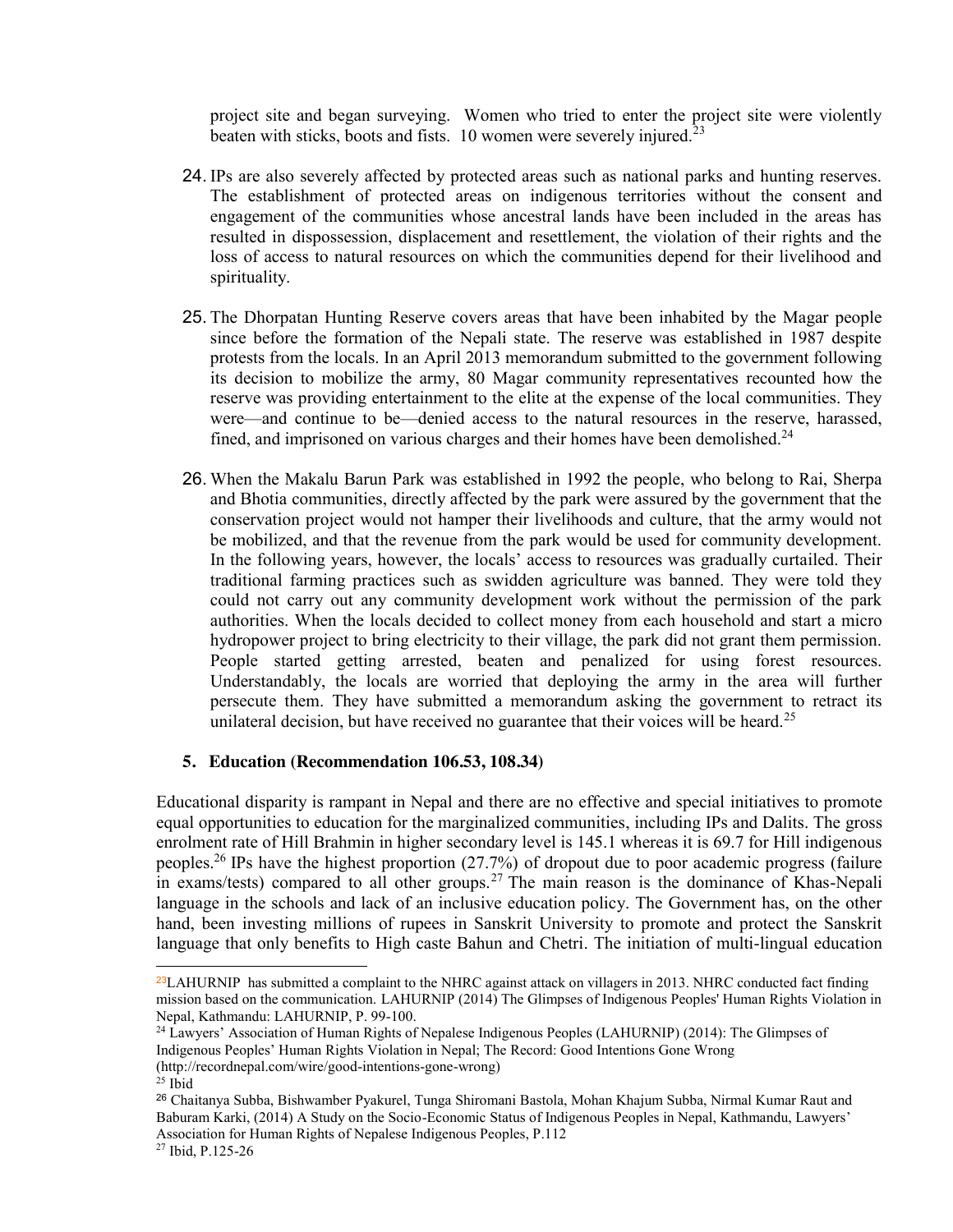project site and began surveying. Women who tried to enter the project site were violently beaten with sticks, boots and fists. 10 women were severely injured.<sup>23</sup>

- 24. IPs are also severely affected by protected areas such as national parks and hunting reserves. The establishment of protected areas on indigenous territories without the consent and engagement of the communities whose ancestral lands have been included in the areas has resulted in dispossession, displacement and resettlement, the violation of their rights and the loss of access to natural resources on which the communities depend for their livelihood and spirituality.
- 25. The Dhorpatan Hunting Reserve covers areas that have been inhabited by the Magar people since before the formation of the Nepali state. The reserve was established in 1987 despite protests from the locals. In an April 2013 memorandum submitted to the government following its decision to mobilize the army, 80 Magar community representatives recounted how the reserve was providing entertainment to the elite at the expense of the local communities. They were—and continue to be—denied access to the natural resources in the reserve, harassed, fined, and imprisoned on various charges and their homes have been demolished.<sup>24</sup>
- 26. When the Makalu Barun Park was established in 1992 the people, who belong to Rai, Sherpa and Bhotia communities, directly affected by the park were assured by the government that the conservation project would not hamper their livelihoods and culture, that the army would not be mobilized, and that the revenue from the park would be used for community development. In the following years, however, the locals' access to resources was gradually curtailed. Their traditional farming practices such as swidden agriculture was banned. They were told they could not carry out any community development work without the permission of the park authorities. When the locals decided to collect money from each household and start a micro hydropower project to bring electricity to their village, the park did not grant them permission. People started getting arrested, beaten and penalized for using forest resources. Understandably, the locals are worried that deploying the army in the area will further persecute them. They have submitted a memorandum asking the government to retract its unilateral decision, but have received no guarantee that their voices will be heard.<sup>25</sup>

#### **5. Education (Recommendation 106.53, 108.34)**

Educational disparity is rampant in Nepal and there are no effective and special initiatives to promote equal opportunities to education for the marginalized communities, including IPs and Dalits. The gross enrolment rate of Hill Brahmin in higher secondary level is 145.1 whereas it is 69.7 for Hill indigenous peoples.26 IPs have the highest proportion (27.7%) of dropout due to poor academic progress (failure in exams/tests) compared to all other groups.<sup>27</sup> The main reason is the dominance of Khas-Nepali language in the schools and lack of an inclusive education policy. The Government has, on the other hand, been investing millions of rupees in Sanskrit University to promote and protect the Sanskrit language that only benefits to High caste Bahun and Chetri. The initiation of multi-lingual education

 $\overline{\phantom{a}}$ 

 $^{23}$ LAHURNIP has submitted a complaint to the NHRC against attack on villagers in 2013. NHRC conducted fact finding mission based on the communication. LAHURNIP (2014) The Glimpses of Indigenous Peoples' Human Rights Violation in Nepal, Kathmandu: LAHURNIP, P. 99-100.

<sup>24</sup> Lawyers' Association of Human Rights of Nepalese Indigenous Peoples (LAHURNIP) (2014): The Glimpses of Indigenous Peoples' Human Rights Violation in Nepal; The Record: Good Intentions Gone Wrong

<sup>(</sup>http://recordnepal.com/wire/good-intentions-gone-wrong)

 $25$  Ibid

<sup>26</sup> Chaitanya Subba, Bishwamber Pyakurel, Tunga Shiromani Bastola, Mohan Khajum Subba, Nirmal Kumar Raut and Baburam Karki, (2014) A Study on the Socio-Economic Status of Indigenous Peoples in Nepal, Kathmandu, Lawyers' Association for Human Rights of Nepalese Indigenous Peoples, P.112

<sup>27</sup> Ibid, P.125-26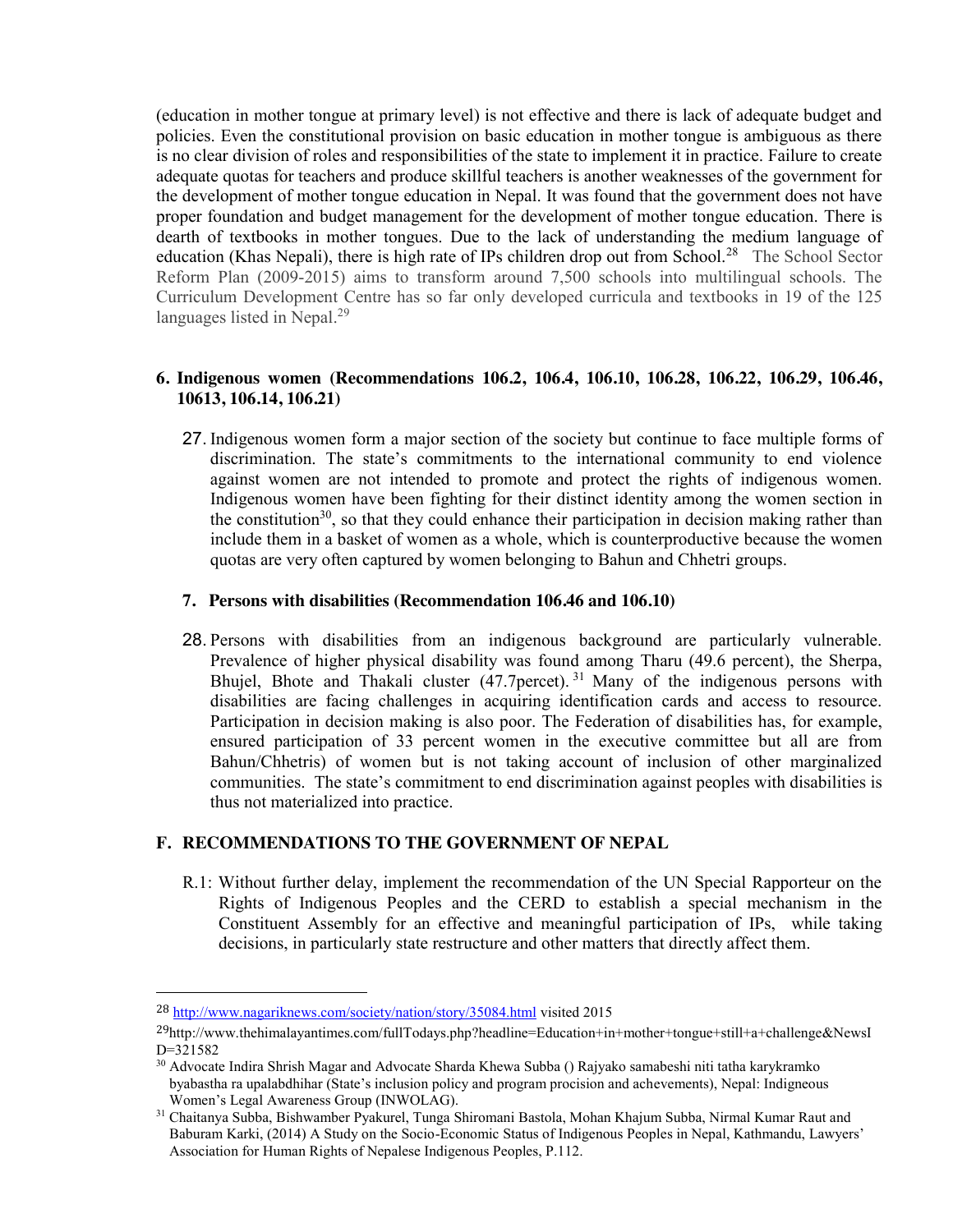(education in mother tongue at primary level) is not effective and there is lack of adequate budget and policies. Even the constitutional provision on basic education in mother tongue is ambiguous as there is no clear division of roles and responsibilities of the state to implement it in practice. Failure to create adequate quotas for teachers and produce skillful teachers is another weaknesses of the government for the development of mother tongue education in Nepal. It was found that the government does not have proper foundation and budget management for the development of mother tongue education. There is dearth of textbooks in mother tongues. Due to the lack of understanding the medium language of education (Khas Nepali), there is high rate of IPs children drop out from School.<sup>28</sup> The School Sector Reform Plan (2009-2015) aims to transform around 7,500 schools into multilingual schools. The Curriculum Development Centre has so far only developed curricula and textbooks in 19 of the 125 languages listed in Nepal.<sup>29</sup>

### **6. Indigenous women (Recommendations 106.2, 106.4, 106.10, 106.28, 106.22, 106.29, 106.46, 10613, 106.14, 106.21)**

27. Indigenous women form a major section of the society but continue to face multiple forms of discrimination. The state's commitments to the international community to end violence against women are not intended to promote and protect the rights of indigenous women. Indigenous women have been fighting for their distinct identity among the women section in the constitution<sup>30</sup>, so that they could enhance their participation in decision making rather than include them in a basket of women as a whole, which is counterproductive because the women quotas are very often captured by women belonging to Bahun and Chhetri groups.

#### **7. Persons with disabilities (Recommendation 106.46 and 106.10)**

28. Persons with disabilities from an indigenous background are particularly vulnerable. Prevalence of higher physical disability was found among Tharu (49.6 percent), the Sherpa, Bhujel, Bhote and Thakali cluster (47.7percet). <sup>31</sup> Many of the indigenous persons with disabilities are facing challenges in acquiring identification cards and access to resource. Participation in decision making is also poor. The Federation of disabilities has, for example, ensured participation of 33 percent women in the executive committee but all are from Bahun/Chhetris) of women but is not taking account of inclusion of other marginalized communities. The state's commitment to end discrimination against peoples with disabilities is thus not materialized into practice.

## **F. RECOMMENDATIONS TO THE GOVERNMENT OF NEPAL**

R.1: Without further delay, implement the recommendation of the UN Special Rapporteur on the Rights of Indigenous Peoples and the CERD to establish a special mechanism in the Constituent Assembly for an effective and meaningful participation of IPs, while taking decisions, in particularly state restructure and other matters that directly affect them.

 <sup>28</sup> http://www.nagariknews.com/society/nation/story/35084.html visited 2015

<sup>29</sup>http://www.thehimalayantimes.com/fullTodays.php?headline=Education+in+mother+tongue+still+a+challenge&NewsI D=321582

<sup>30</sup> Advocate Indira Shrish Magar and Advocate Sharda Khewa Subba () Rajyako samabeshi niti tatha karykramko byabastha ra upalabdhihar (State's inclusion policy and program procision and achevements), Nepal: Indigneous Women's Legal Awareness Group (INWOLAG).

<sup>31</sup> Chaitanya Subba, Bishwamber Pyakurel, Tunga Shiromani Bastola, Mohan Khajum Subba, Nirmal Kumar Raut and Baburam Karki, (2014) A Study on the Socio-Economic Status of Indigenous Peoples in Nepal, Kathmandu, Lawyers' Association for Human Rights of Nepalese Indigenous Peoples, P.112.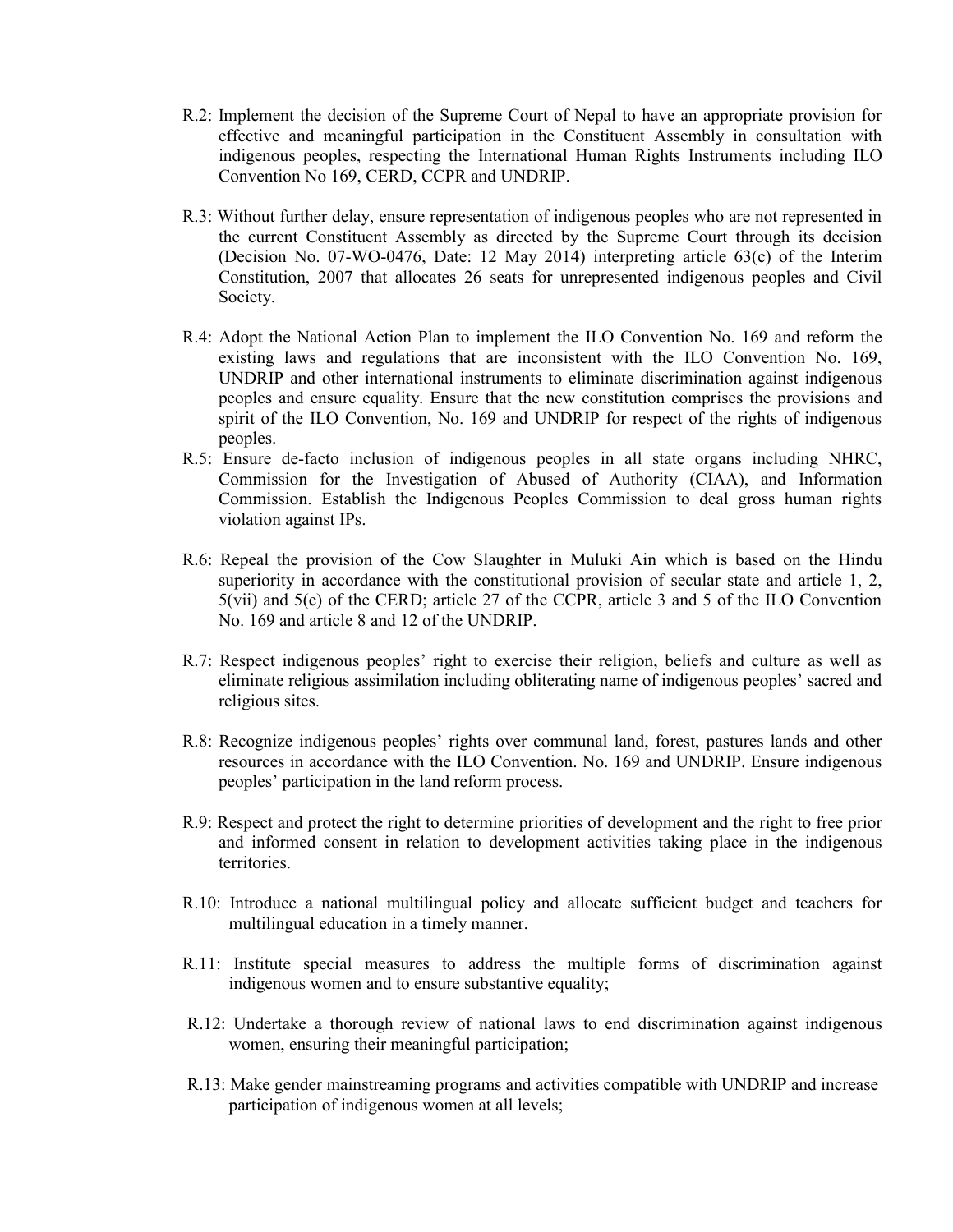- R.2: Implement the decision of the Supreme Court of Nepal to have an appropriate provision for effective and meaningful participation in the Constituent Assembly in consultation with indigenous peoples, respecting the International Human Rights Instruments including ILO Convention No 169, CERD, CCPR and UNDRIP.
- R.3: Without further delay, ensure representation of indigenous peoples who are not represented in the current Constituent Assembly as directed by the Supreme Court through its decision (Decision No. 07-WO-0476, Date: 12 May 2014) interpreting article 63(c) of the Interim Constitution, 2007 that allocates 26 seats for unrepresented indigenous peoples and Civil Society.
- R.4: Adopt the National Action Plan to implement the ILO Convention No. 169 and reform the existing laws and regulations that are inconsistent with the ILO Convention No. 169, UNDRIP and other international instruments to eliminate discrimination against indigenous peoples and ensure equality. Ensure that the new constitution comprises the provisions and spirit of the ILO Convention, No. 169 and UNDRIP for respect of the rights of indigenous peoples.
- R.5: Ensure de-facto inclusion of indigenous peoples in all state organs including NHRC, Commission for the Investigation of Abused of Authority (CIAA), and Information Commission. Establish the Indigenous Peoples Commission to deal gross human rights violation against IPs.
- R.6: Repeal the provision of the Cow Slaughter in Muluki Ain which is based on the Hindu superiority in accordance with the constitutional provision of secular state and article 1, 2, 5(vii) and 5(e) of the CERD; article 27 of the CCPR, article 3 and 5 of the ILO Convention No. 169 and article 8 and 12 of the UNDRIP.
- R.7: Respect indigenous peoples' right to exercise their religion, beliefs and culture as well as eliminate religious assimilation including obliterating name of indigenous peoples' sacred and religious sites.
- R.8: Recognize indigenous peoples' rights over communal land, forest, pastures lands and other resources in accordance with the ILO Convention. No. 169 and UNDRIP. Ensure indigenous peoples' participation in the land reform process.
- R.9: Respect and protect the right to determine priorities of development and the right to free prior and informed consent in relation to development activities taking place in the indigenous territories.
- R.10: Introduce a national multilingual policy and allocate sufficient budget and teachers for multilingual education in a timely manner.
- R.11: Institute special measures to address the multiple forms of discrimination against indigenous women and to ensure substantive equality;
- R.12: Undertake a thorough review of national laws to end discrimination against indigenous women, ensuring their meaningful participation;
- R.13: Make gender mainstreaming programs and activities compatible with UNDRIP and increase participation of indigenous women at all levels;